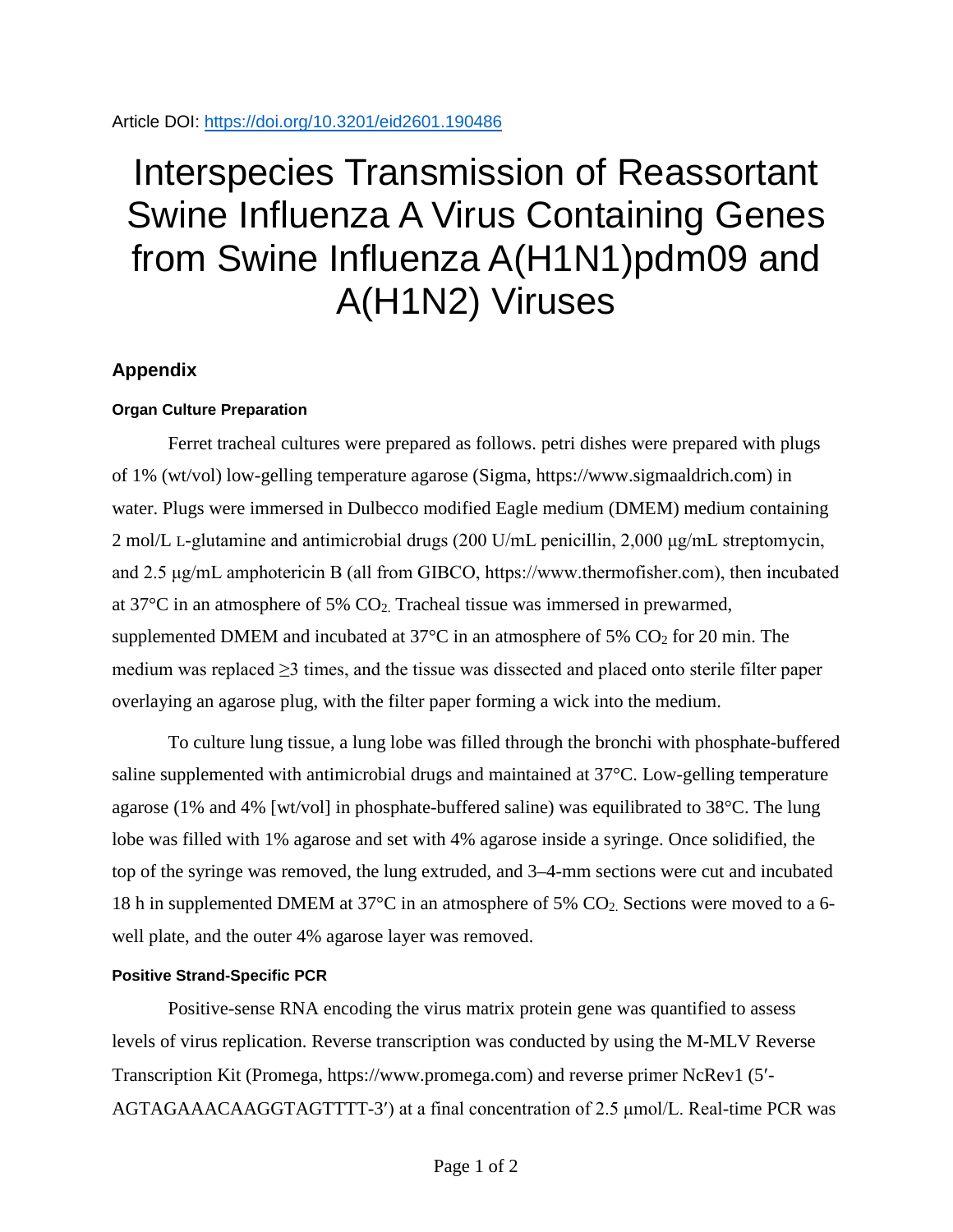## Interspecies Transmission of Reassortant Swine Influenza A Virus Containing Genes from Swine Influenza A(H1N1)pdm09 and A(H1N2) Viruses

## **Appendix**

## **Organ Culture Preparation**

Ferret tracheal cultures were prepared as follows. petri dishes were prepared with plugs of 1% (wt/vol) low-gelling temperature agarose (Sigma, https://www.sigmaaldrich.com) in water. Plugs were immersed in Dulbecco modified Eagle medium (DMEM) medium containing 2 mol/L L-glutamine and antimicrobial drugs (200 U/mL penicillin, 2,000 μg/mL streptomycin, and 2.5 μg/mL amphotericin B (all from GIBCO, https://www.thermofisher.com), then incubated at  $37^{\circ}$ C in an atmosphere of 5%  $CO<sub>2</sub>$ . Tracheal tissue was immersed in prewarmed, supplemented DMEM and incubated at  $37^{\circ}$ C in an atmosphere of 5% CO<sub>2</sub> for 20 min. The medium was replaced  $\geq$ 3 times, and the tissue was dissected and placed onto sterile filter paper overlaying an agarose plug, with the filter paper forming a wick into the medium.

To culture lung tissue, a lung lobe was filled through the bronchi with phosphate-buffered saline supplemented with antimicrobial drugs and maintained at 37°C. Low-gelling temperature agarose (1% and 4% [wt/vol] in phosphate-buffered saline) was equilibrated to 38°C. The lung lobe was filled with 1% agarose and set with 4% agarose inside a syringe. Once solidified, the top of the syringe was removed, the lung extruded, and 3–4-mm sections were cut and incubated 18 h in supplemented DMEM at 37°C in an atmosphere of 5% CO2. Sections were moved to a 6 well plate, and the outer 4% agarose layer was removed.

## **Positive Strand-Specific PCR**

Positive-sense RNA encoding the virus matrix protein gene was quantified to assess levels of virus replication. Reverse transcription was conducted by using the M-MLV Reverse Transcription Kit (Promega, https://www.promega.com) and reverse primer NcRev1 (5′- AGTAGAAACAAGGTAGTTTT-3′) at a final concentration of 2.5 μmol/L. Real-time PCR was